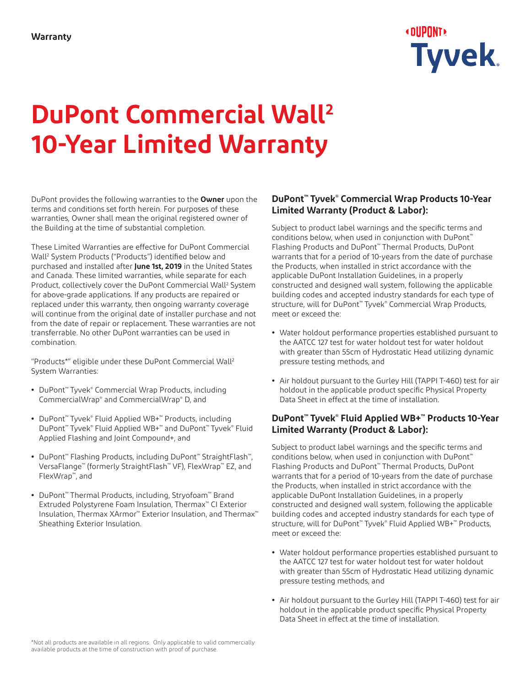

# **DuPont Commercial Wall2 10-Year Limited Warranty**

DuPont provides the following warranties to the **Owner** upon the terms and conditions set forth herein. For purposes of these warranties, Owner shall mean the original registered owner of the Building at the time of substantial completion.

These Limited Warranties are effective for DuPont Commercial Wall2 System Products ("Products") identified below and purchased and installed after **June 1st, 2019** in the United States and Canada. These limited warranties, while separate for each Product, collectively cover the DuPont Commercial Wall<sup>2</sup> System for above-grade applications. If any products are repaired or replaced under this warranty, then ongoing warranty coverage will continue from the original date of installer purchase and not from the date of repair or replacement. These warranties are not transferrable. No other DuPont warranties can be used in combination.

"Products\*" eligible under these DuPont Commercial Wall2 System Warranties:

- **•** DuPont™ Tyvek® Commercial Wrap Products, including CommercialWrap® and CommercialWrap® D, and
- **•** DuPont™ Tyvek® Fluid Applied WB+™ Products, including DuPont™ Tyvek® Fluid Applied WB+™ and DuPont™ Tyvek® Fluid Applied Flashing and Joint Compound+, and
- **•** DuPont™ Flashing Products, including DuPont™ StraightFlash™, VersaFlange™ (formerly StraightFlash™ VF), FlexWrap™ EZ, and FlexWrap™, and
- **•** DuPont™ Thermal Products, including, Stryofoam™ Brand Extruded Polystyrene Foam Insulation, Thermax™ CI Exterior Insulation, Thermax XArmor™ Exterior Insulation, and Thermax™ Sheathing Exterior Insulation.

#### **DuPont™ Tyvek® Commercial Wrap Products 10-Year Limited Warranty (Product & Labor):**

Subject to product label warnings and the specific terms and conditions below, when used in conjunction with DuPont™ Flashing Products and DuPont™ Thermal Products, DuPont warrants that for a period of 10-years from the date of purchase the Products, when installed in strict accordance with the applicable DuPont Installation Guidelines, in a properly constructed and designed wall system, following the applicable building codes and accepted industry standards for each type of structure, will for DuPont™ Tyvek® Commercial Wrap Products, meet or exceed the:

- **•** Water holdout performance properties established pursuant to the AATCC 127 test for water holdout test for water holdout with greater than 55cm of Hydrostatic Head utilizing dynamic pressure testing methods, and
- **•** Air holdout pursuant to the Gurley Hill (TAPPI T-460) test for air holdout in the applicable product specific Physical Property Data Sheet in effect at the time of installation.

#### **DuPont™ Tyvek® Fluid Applied WB+™ Products 10-Year Limited Warranty (Product & Labor):**

Subject to product label warnings and the specific terms and conditions below, when used in conjunction with DuPont™ Flashing Products and DuPont™ Thermal Products, DuPont warrants that for a period of 10-years from the date of purchase the Products, when installed in strict accordance with the applicable DuPont Installation Guidelines, in a properly constructed and designed wall system, following the applicable building codes and accepted industry standards for each type of structure, will for DuPont™ Tyvek® Fluid Applied WB+™ Products, meet or exceed the:

- **•** Water holdout performance properties established pursuant to the AATCC 127 test for water holdout test for water holdout with greater than 55cm of Hydrostatic Head utilizing dynamic pressure testing methods, and
- **•** Air holdout pursuant to the Gurley Hill (TAPPI T-460) test for air holdout in the applicable product specific Physical Property Data Sheet in effect at the time of installation.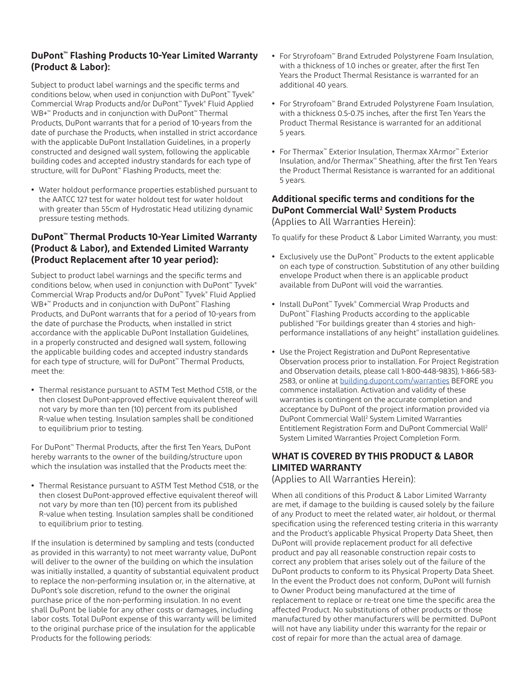#### **DuPont™ Flashing Products 10-Year Limited Warranty (Product & Labor):**

Subject to product label warnings and the specific terms and conditions below, when used in conjunction with DuPont™ Tyvek® Commercial Wrap Products and/or DuPont™ Tyvek® Fluid Applied WB+™ Products and in conjunction with DuPont™ Thermal Products, DuPont warrants that for a period of 10-years from the date of purchase the Products, when installed in strict accordance with the applicable DuPont Installation Guidelines, in a properly constructed and designed wall system, following the applicable building codes and accepted industry standards for each type of structure, will for DuPont™ Flashing Products, meet the:

**•** Water holdout performance properties established pursuant to the AATCC 127 test for water holdout test for water holdout with greater than 55cm of Hydrostatic Head utilizing dynamic pressure testing methods.

#### **DuPont™ Thermal Products 10-Year Limited Warranty (Product & Labor), and Extended Limited Warranty (Product Replacement after 10 year period):**

Subject to product label warnings and the specific terms and conditions below, when used in conjunction with DuPont<sup>™</sup> Tyvek<sup>®</sup> Commercial Wrap Products and/or DuPont™ Tyvek® Fluid Applied WB+™ Products and in conjunction with DuPont™ Flashing Products, and DuPont warrants that for a period of 10-years from the date of purchase the Products, when installed in strict accordance with the applicable DuPont Installation Guidelines, in a properly constructed and designed wall system, following the applicable building codes and accepted industry standards for each type of structure, will for DuPont™ Thermal Products, meet the:

**•** Thermal resistance pursuant to ASTM Test Method C518, or the then closest DuPont-approved effective equivalent thereof will not vary by more than ten (10) percent from its published R-value when testing. Insulation samples shall be conditioned to equilibrium prior to testing.

For DuPont™ Thermal Products, after the first Ten Years, DuPont hereby warrants to the owner of the building/structure upon which the insulation was installed that the Products meet the:

**•** Thermal Resistance pursuant to ASTM Test Method C518, or the then closest DuPont-approved effective equivalent thereof will not vary by more than ten (10) percent from its published R-value when testing. Insulation samples shall be conditioned to equilibrium prior to testing.

If the insulation is determined by sampling and tests (conducted as provided in this warranty) to not meet warranty value, DuPont will deliver to the owner of the building on which the insulation was initially installed, a quantity of substantial equivalent product to replace the non-performing insulation or, in the alternative, at DuPont's sole discretion, refund to the owner the original purchase price of the non-performing insulation. In no event shall DuPont be liable for any other costs or damages, including labor costs. Total DuPont expense of this warranty will be limited to the original purchase price of the insulation for the applicable Products for the following periods:

- **•** For Stryrofoam™ Brand Extruded Polystyrene Foam Insulation, with a thickness of 1.0 inches or greater, after the first Ten Years the Product Thermal Resistance is warranted for an additional 40 years.
- **•** For Stryrofoam™ Brand Extruded Polystyrene Foam Insulation, with a thickness 0.5-0.75 inches, after the first Ten Years the Product Thermal Resistance is warranted for an additional 5 years.
- **•** For Thermax™ Exterior Insulation, Thermax XArmor™ Exterior Insulation, and/or Thermax™ Sheathing, after the first Ten Years the Product Thermal Resistance is warranted for an additional 5 years.

### **Additional specific terms and conditions for the DuPont Commercial Wall2 System Products**

(Applies to All Warranties Herein):

To qualify for these Product & Labor Limited Warranty, you must:

- **•** Exclusively use the DuPont™ Products to the extent applicable on each type of construction. Substitution of any other building envelope Product when there is an applicable product available from DuPont will void the warranties.
- **•** Install DuPont™ Tyvek® Commercial Wrap Products and DuPont™ Flashing Products according to the applicable published "For buildings greater than 4 stories and highperformance installations of any height" installation guidelines.
- **•** Use the Project Registration and DuPont Representative Observation process prior to installation. For Project Registration and Observation details, please call 1-800-448-9835), 1-866-583- 2583, or online at [building.dupont.com/warranties](http://building.dupont.com/warranties) BEFORE you commence installation. Activation and validity of these warranties is contingent on the accurate completion and acceptance by DuPont of the project information provided via DuPont Commercial Wall2 System Limited Warranties Entitlement Registration Form and DuPont Commercial Wall2 System Limited Warranties Project Completion Form.

#### **WHAT IS COVERED BY THIS PRODUCT & LABOR LIMITED WARRANTY**

(Applies to All Warranties Herein):

When all conditions of this Product & Labor Limited Warranty are met, if damage to the building is caused solely by the failure of any Product to meet the related water, air holdout, or thermal specification using the referenced testing criteria in this warranty and the Product's applicable Physical Property Data Sheet, then DuPont will provide replacement product for all defective product and pay all reasonable construction repair costs to correct any problem that arises solely out of the failure of the DuPont products to conform to its Physical Property Data Sheet. In the event the Product does not conform, DuPont will furnish to Owner Product being manufactured at the time of replacement to replace or re-treat one time the specific area the affected Product. No substitutions of other products or those manufactured by other manufacturers will be permitted. DuPont will not have any liability under this warranty for the repair or cost of repair for more than the actual area of damage.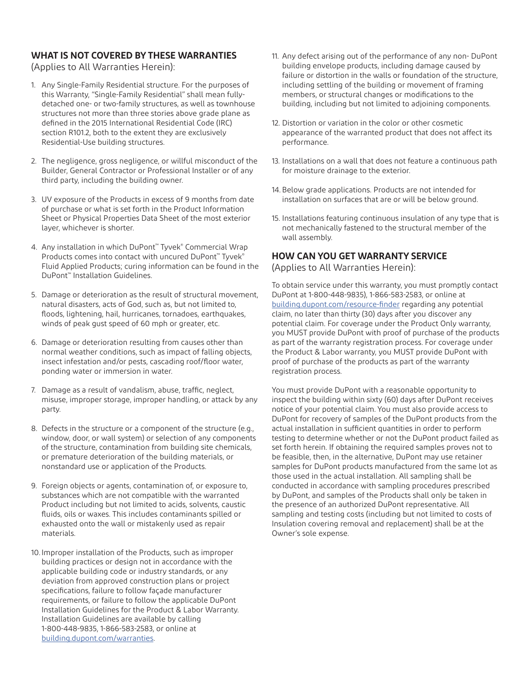#### **WHAT IS NOT COVERED BY THESE WARRANTIES**

(Applies to All Warranties Herein):

- 1. Any Single-Family Residential structure. For the purposes of this Warranty, "Single-Family Residential" shall mean fullydetached one- or two-family structures, as well as townhouse structures not more than three stories above grade plane as defined in the 2015 International Residential Code (IRC) section R101.2, both to the extent they are exclusively Residential-Use building structures.
- 2. The negligence, gross negligence, or willful misconduct of the Builder, General Contractor or Professional Installer or of any third party, including the building owner.
- 3. UV exposure of the Products in excess of 9 months from date of purchase or what is set forth in the Product Information Sheet or Physical Properties Data Sheet of the most exterior layer, whichever is shorter.
- 4. Any installation in which DuPont™ Tyvek® Commercial Wrap Products comes into contact with uncured DuPont™ Tyvek® Fluid Applied Products; curing information can be found in the DuPont™ Installation Guidelines.
- 5. Damage or deterioration as the result of structural movement, natural disasters, acts of God, such as, but not limited to, floods, lightening, hail, hurricanes, tornadoes, earthquakes, winds of peak gust speed of 60 mph or greater, etc.
- 6. Damage or deterioration resulting from causes other than normal weather conditions, such as impact of falling objects, insect infestation and/or pests, cascading roof/floor water, ponding water or immersion in water.
- 7. Damage as a result of vandalism, abuse, traffic, neglect, misuse, improper storage, improper handling, or attack by any party.
- 8. Defects in the structure or a component of the structure (e.g., window, door, or wall system) or selection of any components of the structure, contamination from building site chemicals, or premature deterioration of the building materials, or nonstandard use or application of the Products.
- 9. Foreign objects or agents, contamination of, or exposure to, substances which are not compatible with the warranted Product including but not limited to acids, solvents, caustic fluids, oils or waxes. This includes contaminants spilled or exhausted onto the wall or mistakenly used as repair materials.
- 10. Improper installation of the Products, such as improper building practices or design not in accordance with the applicable building code or industry standards, or any deviation from approved construction plans or project specifications, failure to follow façade manufacturer requirements, or failure to follow the applicable DuPont Installation Guidelines for the Product & Labor Warranty. Installation Guidelines are available by calling 1-800-448-9835, 1-866-583-2583, or online at [building.dupont.com/warranties.](http://building.dupont.com/warranties)
- 11. Any defect arising out of the performance of any non- DuPont building envelope products, including damage caused by failure or distortion in the walls or foundation of the structure, including settling of the building or movement of framing members, or structural changes or modifications to the building, including but not limited to adjoining components.
- 12. Distortion or variation in the color or other cosmetic appearance of the warranted product that does not affect its performance.
- 13. Installations on a wall that does not feature a continuous path for moisture drainage to the exterior.
- 14. Below grade applications. Products are not intended for installation on surfaces that are or will be below ground.
- 15. Installations featuring continuous insulation of any type that is not mechanically fastened to the structural member of the wall assembly.

#### **HOW CAN YOU GET WARRANTY SERVICE**

(Applies to All Warranties Herein):

To obtain service under this warranty, you must promptly contact DuPont at 1-800-448-9835), 1-866-583-2583, or online at [building.dupont.com/resource-finder](http://building.dupont.com/resource-finder) regarding any potential claim, no later than thirty (30) days after you discover any potential claim. For coverage under the Product Only warranty, you MUST provide DuPont with proof of purchase of the products as part of the warranty registration process. For coverage under the Product & Labor warranty, you MUST provide DuPont with proof of purchase of the products as part of the warranty registration process.

You must provide DuPont with a reasonable opportunity to inspect the building within sixty (60) days after DuPont receives notice of your potential claim. You must also provide access to DuPont for recovery of samples of the DuPont products from the actual installation in sufficient quantities in order to perform testing to determine whether or not the DuPont product failed as set forth herein. If obtaining the required samples proves not to be feasible, then, in the alternative, DuPont may use retainer samples for DuPont products manufactured from the same lot as those used in the actual installation. All sampling shall be conducted in accordance with sampling procedures prescribed by DuPont, and samples of the Products shall only be taken in the presence of an authorized DuPont representative. All sampling and testing costs (including but not limited to costs of Insulation covering removal and replacement) shall be at the Owner's sole expense.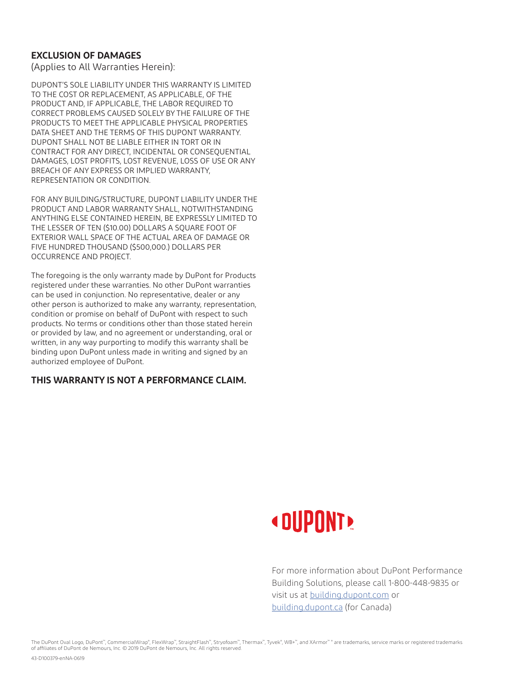#### **EXCLUSION OF DAMAGES**

(Applies to All Warranties Herein):

DUPONT'S SOLE LIABILITY UNDER THIS WARRANTY IS LIMITED TO THE COST OR REPLACEMENT, AS APPLICABLE, OF THE PRODUCT AND, IF APPLICABLE, THE LABOR REQUIRED TO CORRECT PROBLEMS CAUSED SOLELY BY THE FAILURE OF THE PRODUCTS TO MEET THE APPLICABLE PHYSICAL PROPERTIES DATA SHEET AND THE TERMS OF THIS DUPONT WARRANTY. DUPONT SHALL NOT BE LIABLE EITHER IN TORT OR IN CONTRACT FOR ANY DIRECT, INCIDENTAL OR CONSEQUENTIAL DAMAGES, LOST PROFITS, LOST REVENUE, LOSS OF USE OR ANY BREACH OF ANY EXPRESS OR IMPLIED WARRANTY, REPRESENTATION OR CONDITION.

FOR ANY BUILDING/STRUCTURE, DUPONT LIABILITY UNDER THE PRODUCT AND LABOR WARRANTY SHALL, NOTWITHSTANDING ANYTHING ELSE CONTAINED HEREIN, BE EXPRESSLY LIMITED TO THE LESSER OF TEN (\$10.00) DOLLARS A SQUARE FOOT OF EXTERIOR WALL SPACE OF THE ACTUAL AREA OF DAMAGE OR FIVE HUNDRED THOUSAND (\$500,000.) DOLLARS PER OCCURRENCE AND PROJECT.

The foregoing is the only warranty made by DuPont for Products registered under these warranties. No other DuPont warranties can be used in conjunction. No representative, dealer or any other person is authorized to make any warranty, representation, condition or promise on behalf of DuPont with respect to such products. No terms or conditions other than those stated herein or provided by law, and no agreement or understanding, oral or written, in any way purporting to modify this warranty shall be binding upon DuPont unless made in writing and signed by an authorized employee of DuPont.

#### **THIS WARRANTY IS NOT A PERFORMANCE CLAIM.**



For more information about DuPont Performance Building Solutions, please call 1-800-448-9835 or visit us at [building.dupont.com](http://building.dupont.com) or [building.dupont.ca](http://building.dupont.ca) (for Canada)

The DuPont Oval Logo, DuPont™, CommercialWrap®, FlexWrap™, StraightFlash™, Stryofoam™, Thermax™, Tyvek®, WB+™, and XArmor™® are trademarks, service marks or registered trademarks of affiliates of DuPont de Nemours, Inc. © 2019 DuPont de Nemours, Inc. All rights reserved.